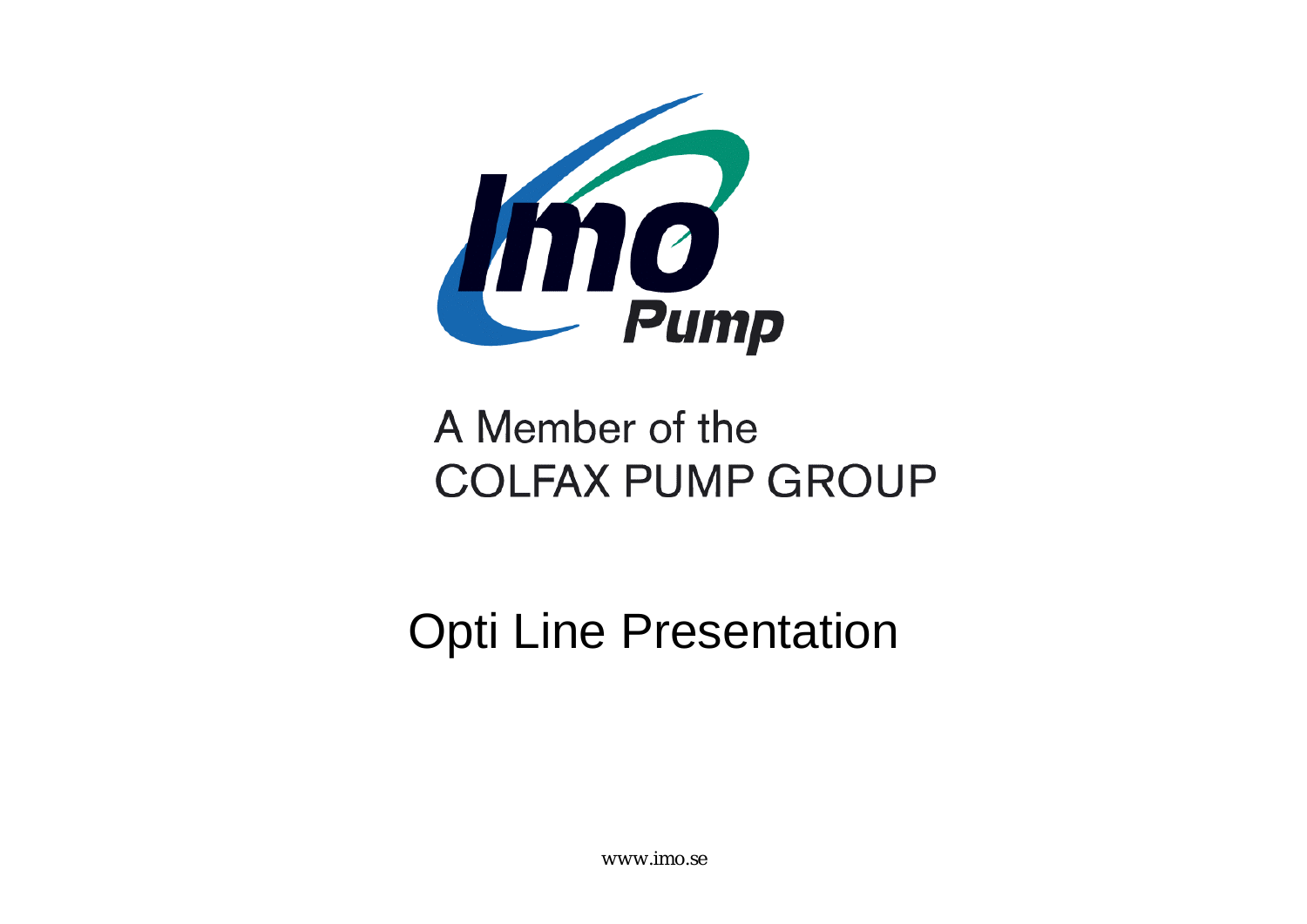

### A Member of the **COLFAX PUMP GROUP**

Opti Line Presentation

www.imo.se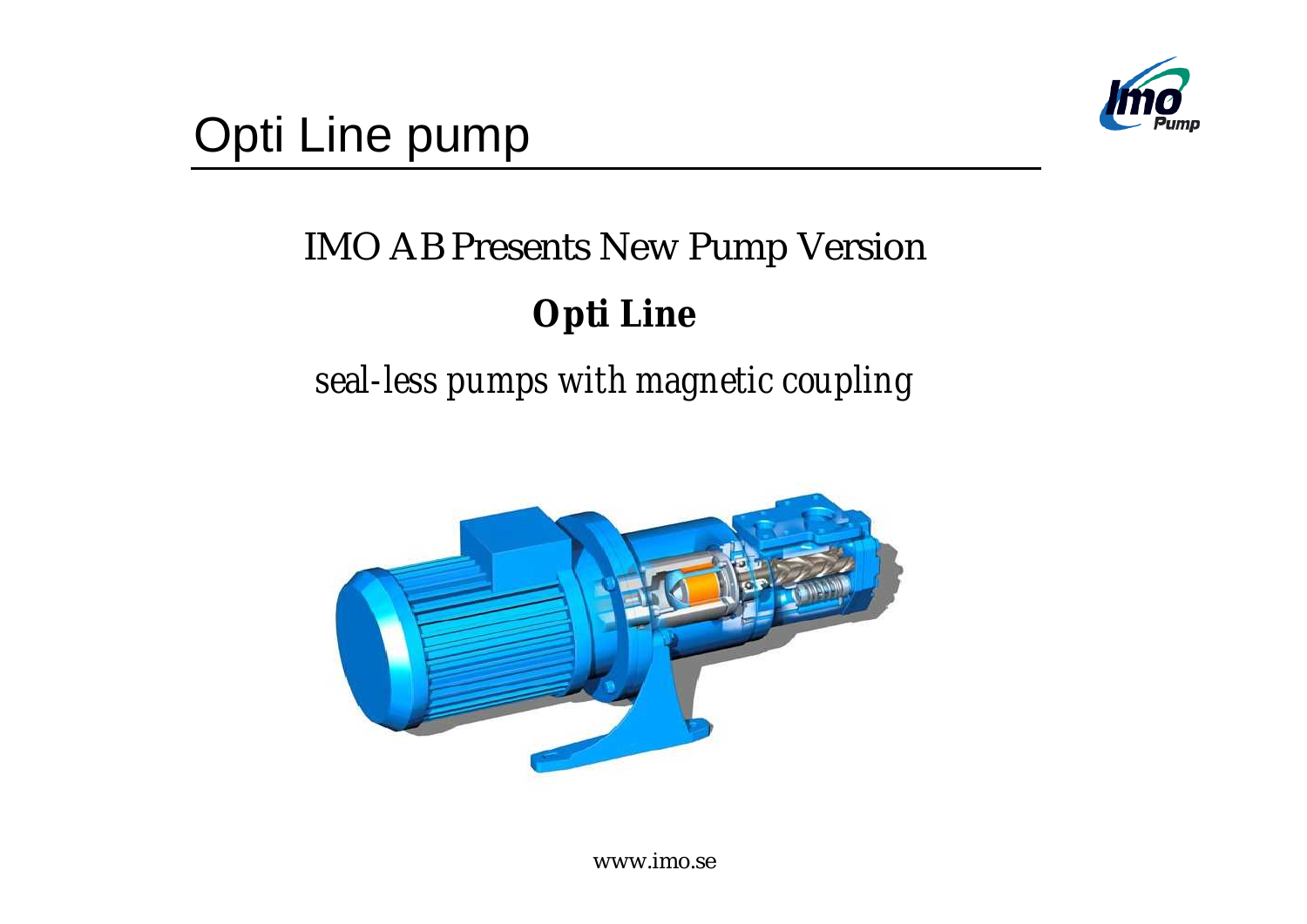

### IMO AB Presents New Pump Version

#### **Opti Line**

### *seal-less pumps with magnetic coupling*



www.imo.se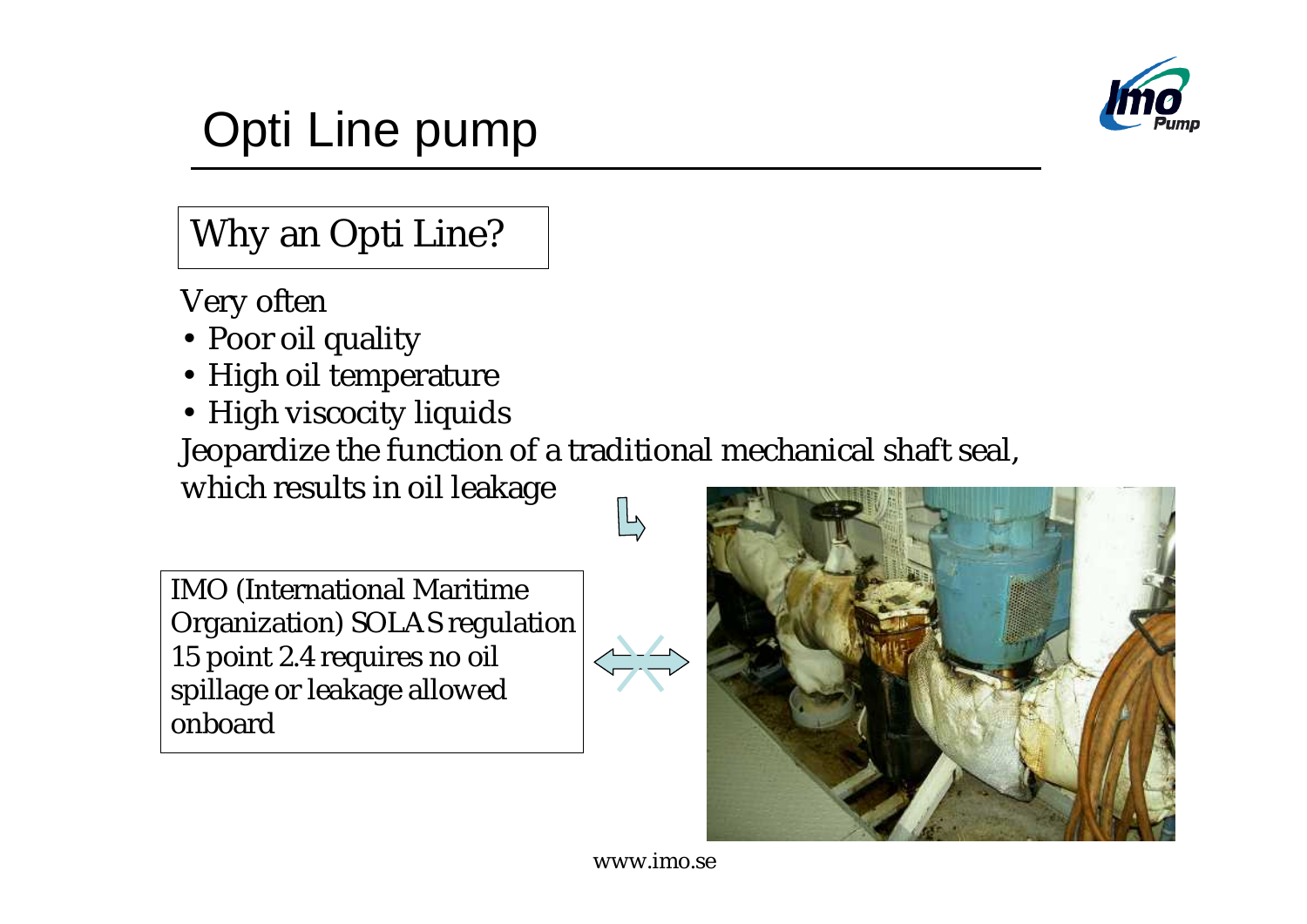

#### Why an Opti Line?

Very often

- Poor oil quality
- High oil temperature
- High viscocity liquids

Jeopardize the function of a traditional mechanical shaft seal,

which results in oil leakage

IMO (International Maritime Organization) SOLAS regulation 15 point 2.4 requires no oil spillage or leakage allowed onboard

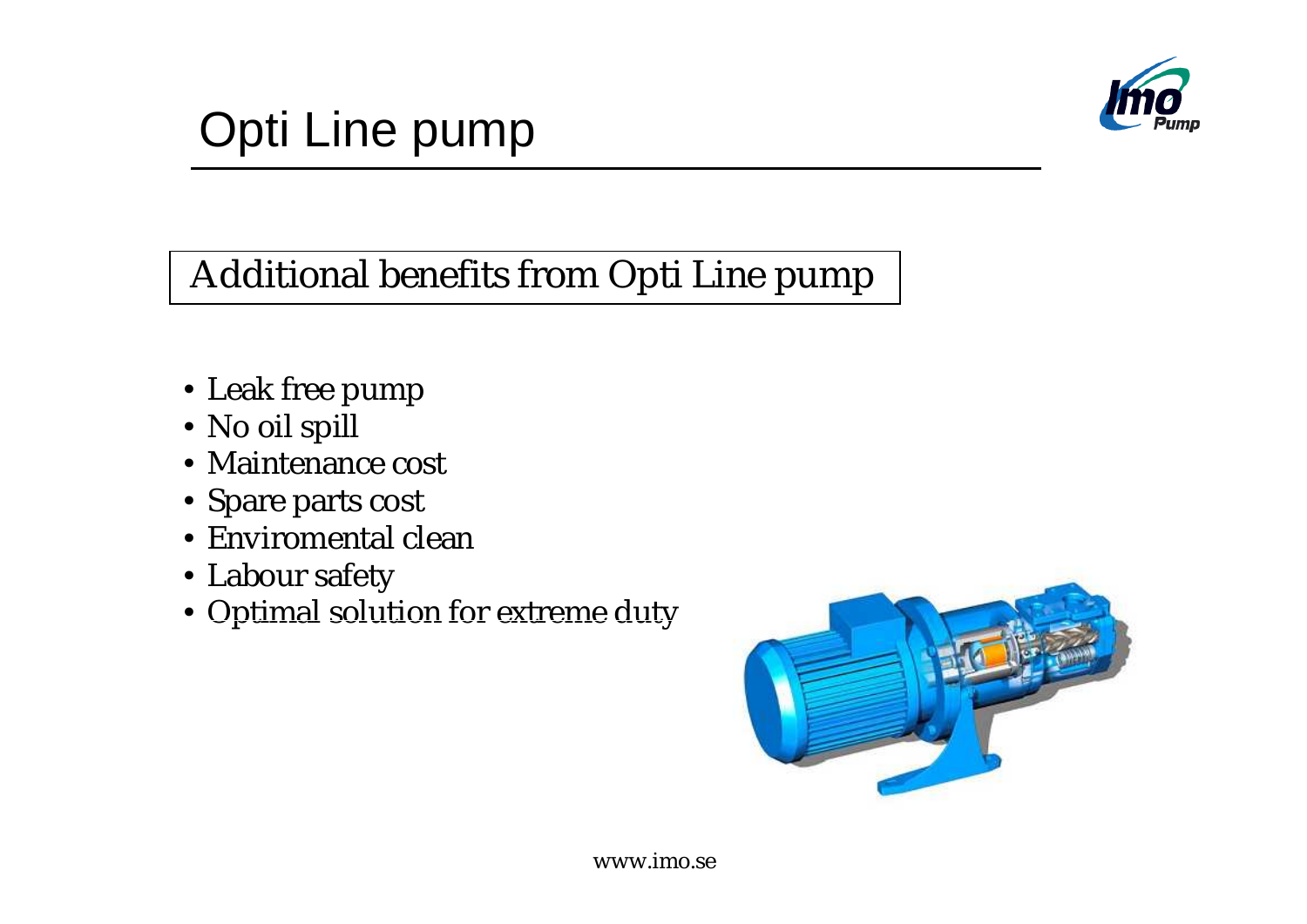

#### Additional benefits from Opti Line pump

- Leak free pump
- No oil spill
- Maintenance cost
- Spare parts cost
- Enviromental clean
- Labour safety
- Optimal solution for extreme duty

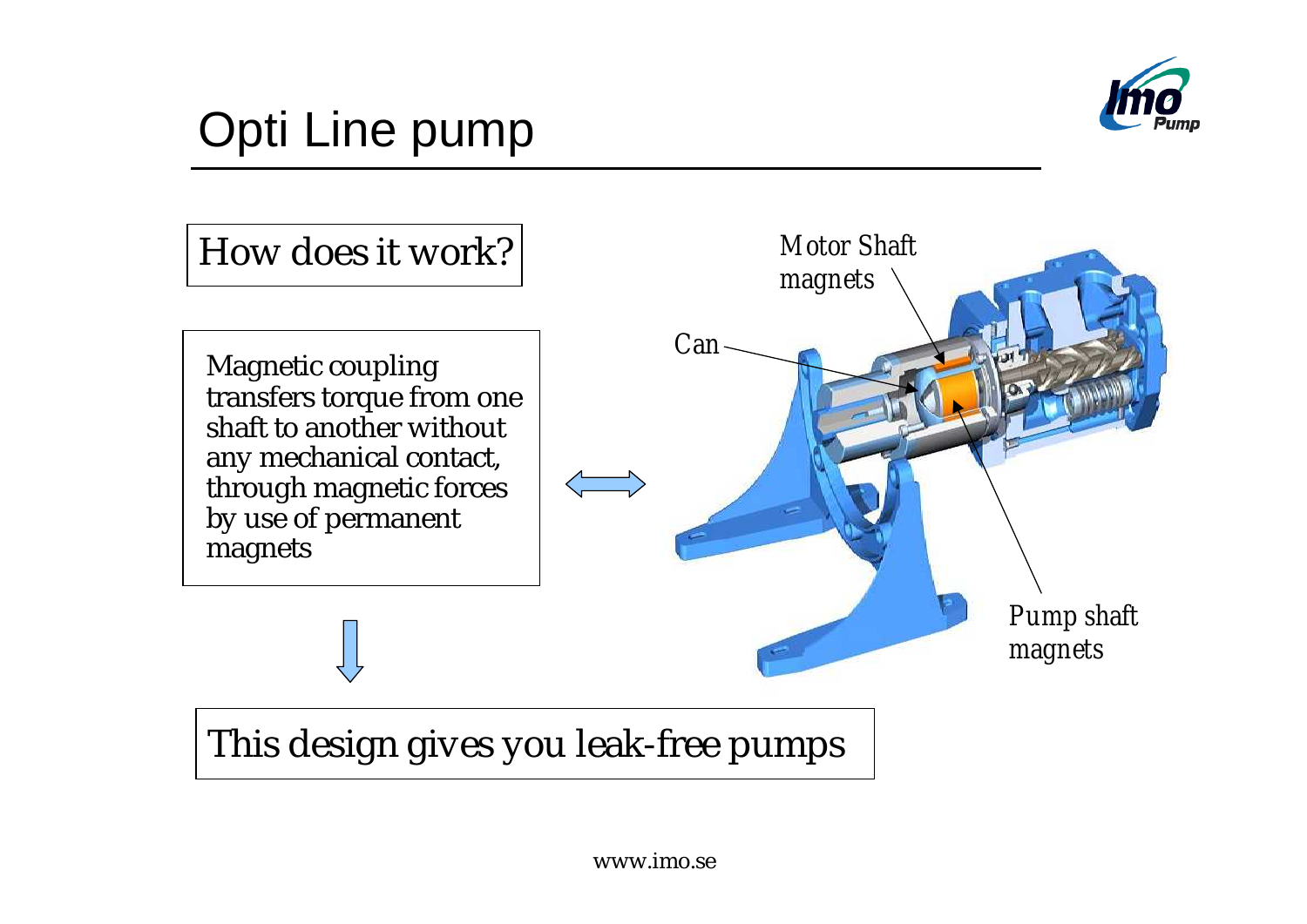



#### This design gives you leak-free pumps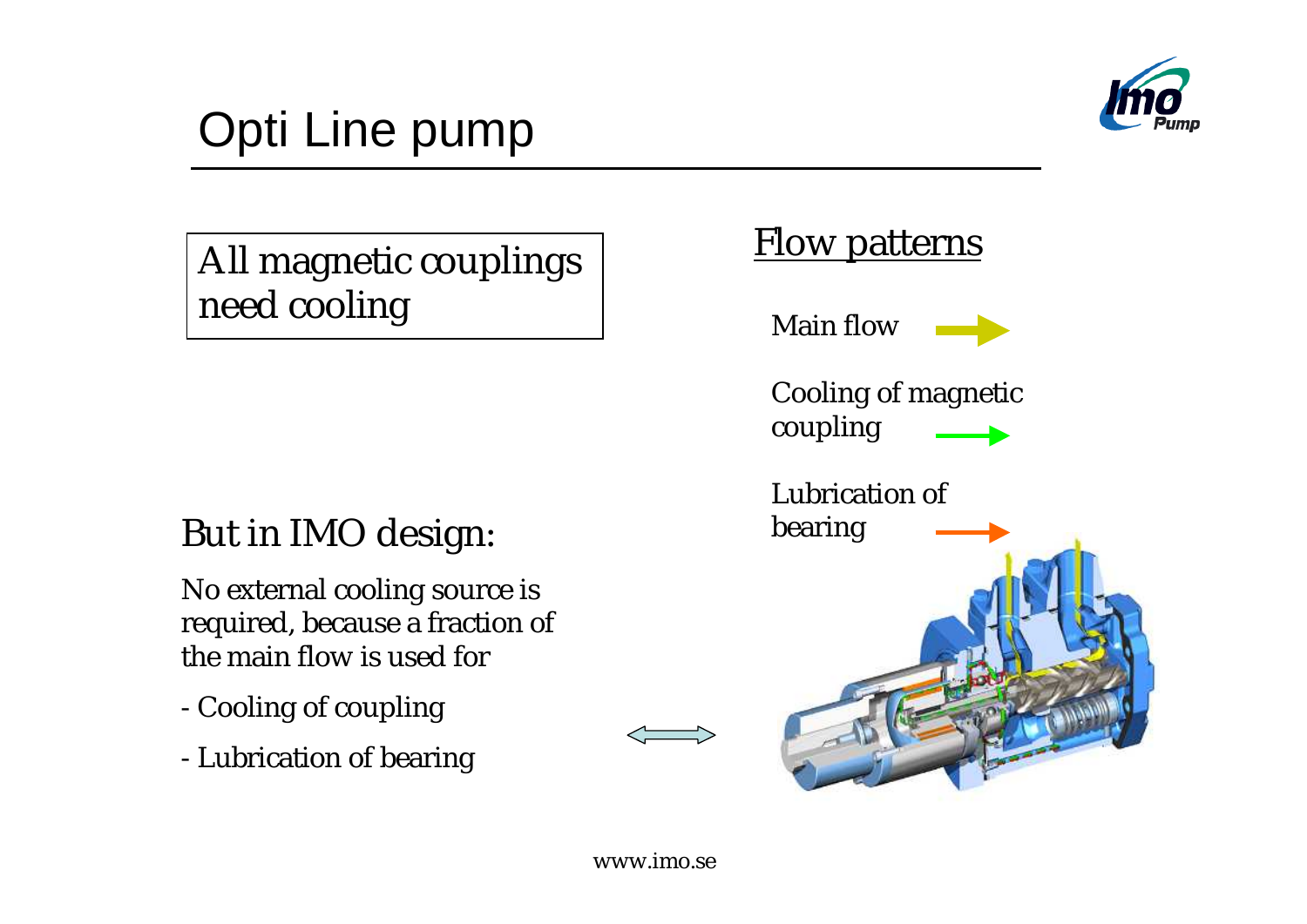

All magnetic couplings need cooling

#### But in IMO design:

No external cooling source is required, because a fraction of the main flow is used for

- Cooling of coupling
- Lubrication of bearing

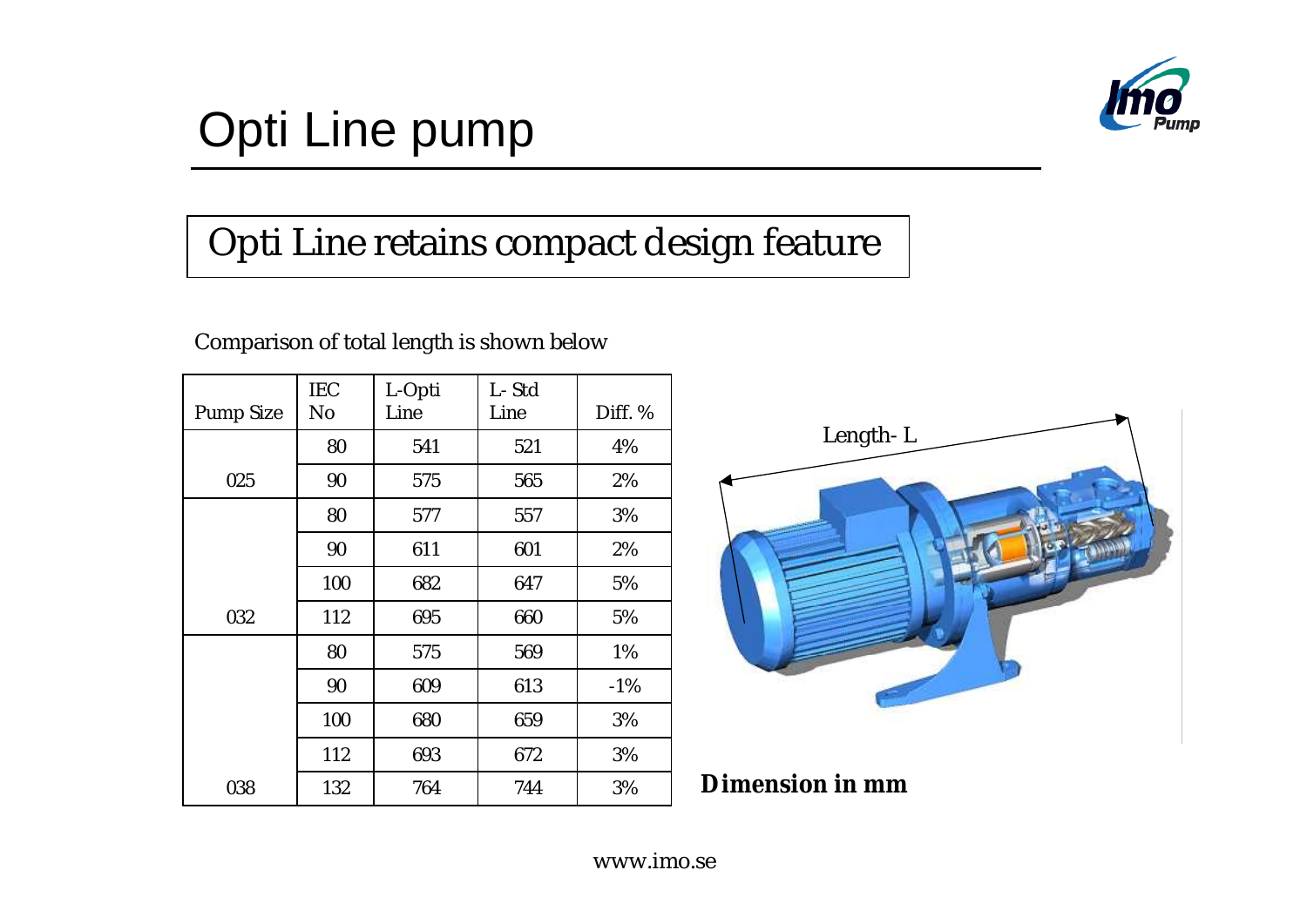

#### Opti Line retains compact design feature

#### Comparison of total length is shown below

| <b>Pump Size</b> | <b>IEC</b><br>No | L-Opti<br>Line | L-Std<br>Line | Diff. % |
|------------------|------------------|----------------|---------------|---------|
|                  | 80               | 541            | 521           | 4%      |
| 025              | 90               | 575            | 565           | 2%      |
|                  | 80               | 577            | 557           | 3%      |
|                  | 90               | 611            | 601           | 2%      |
|                  | 100              | 682            | 647           | 5%      |
| 032              | 112              | 695            | 660           | 5%      |
|                  | 80               | 575            | 569           | 1%      |
|                  | 90               | 609            | 613           | $-1\%$  |
|                  | 100              | 680            | 659           | 3%      |
|                  | 112              | 693            | 672           | 3%      |
| 038              | 132              | 764            | 744           | 3%      |



**Dimension in mm**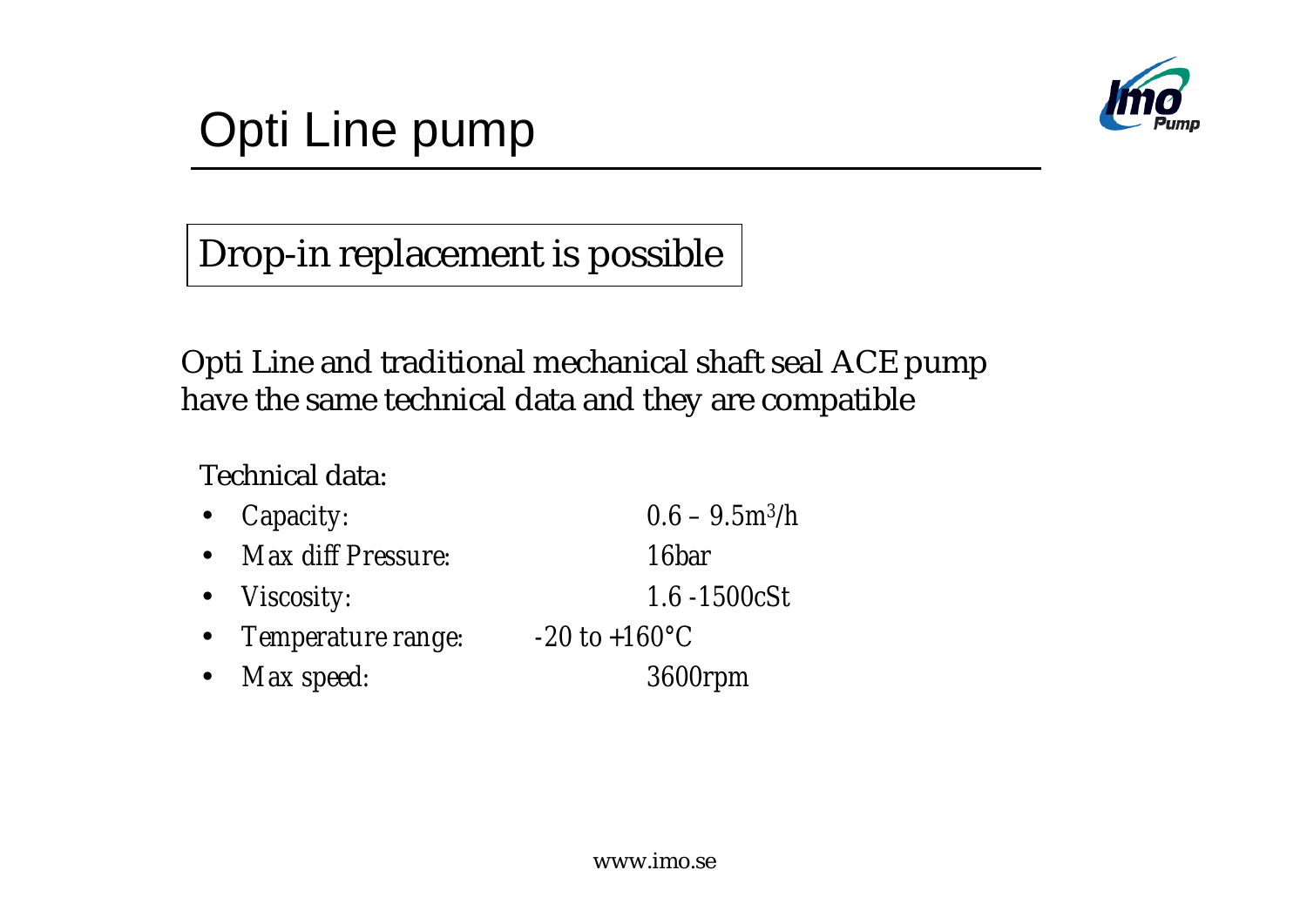

Drop-in replacement is possible

Opti Line and traditional mechanical shaft seal ACE pump have the same technical data and they are compatible

Technical data:

| • <i>Capacity:</i>   | $0.6 - 9.5$ m <sup>3</sup> /h |
|----------------------|-------------------------------|
| • Max diff Pressure: | <i>16bar</i>                  |
| • <i>Viscosity:</i>  | <i>1.6 -1500cSt</i>           |
| • Temperature range: | $-20$ to $+160^{\circ}C$      |
| • Max speed:         | <i>3600rpm</i>                |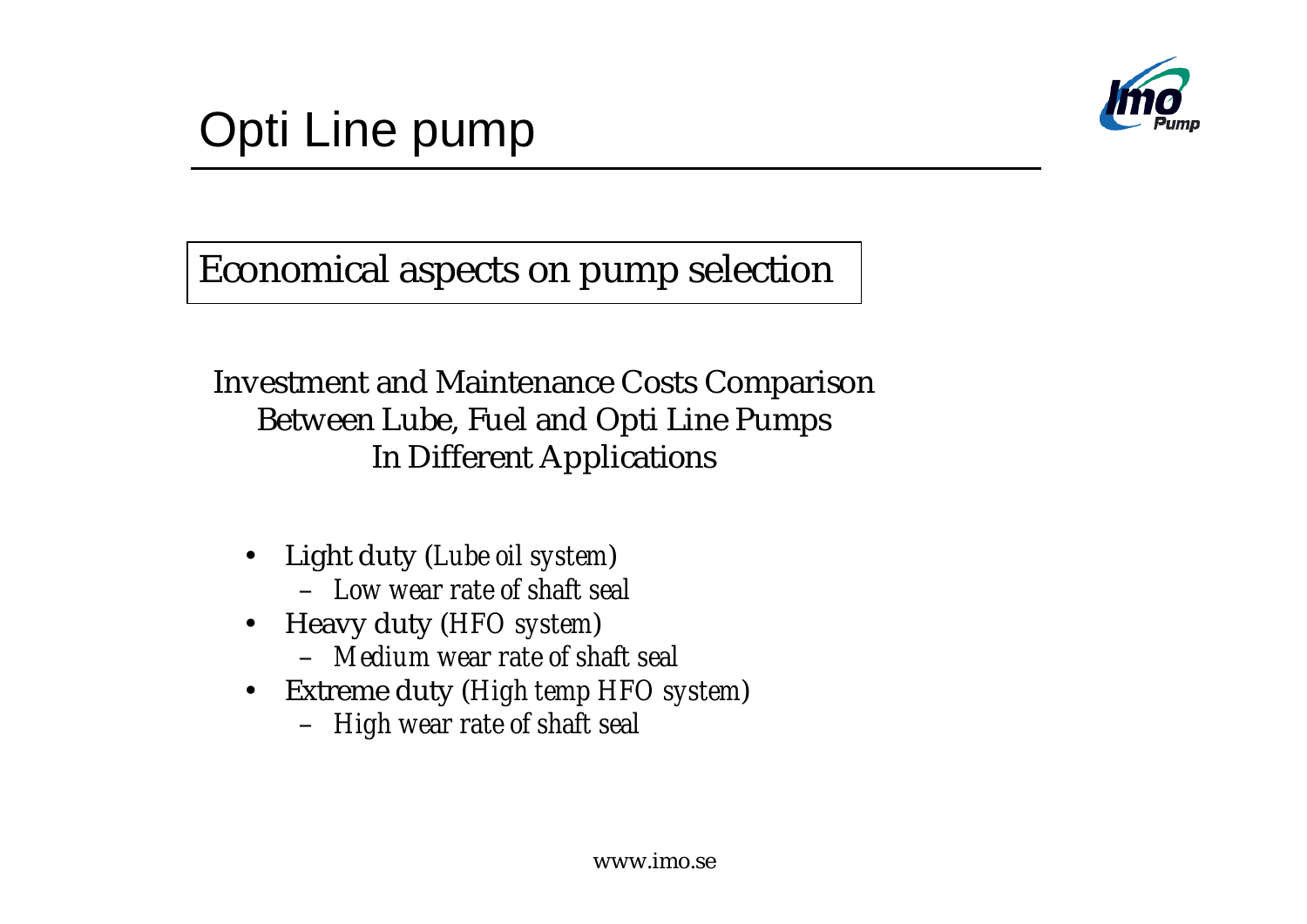

Economical aspects on pump selection

Investment and Maintenance Costs Comparison Between Lube, Fuel and Opti Line Pumps In Different Applications

- Light duty (*Lube oil system*) – *Low wear rate of shaft seal*
- Heavy duty (*HFO system*)
	- *Medium wear rate of shaft seal*
- Extreme duty (*High temp HFO system*)
	- *High wear rate of shaft seal*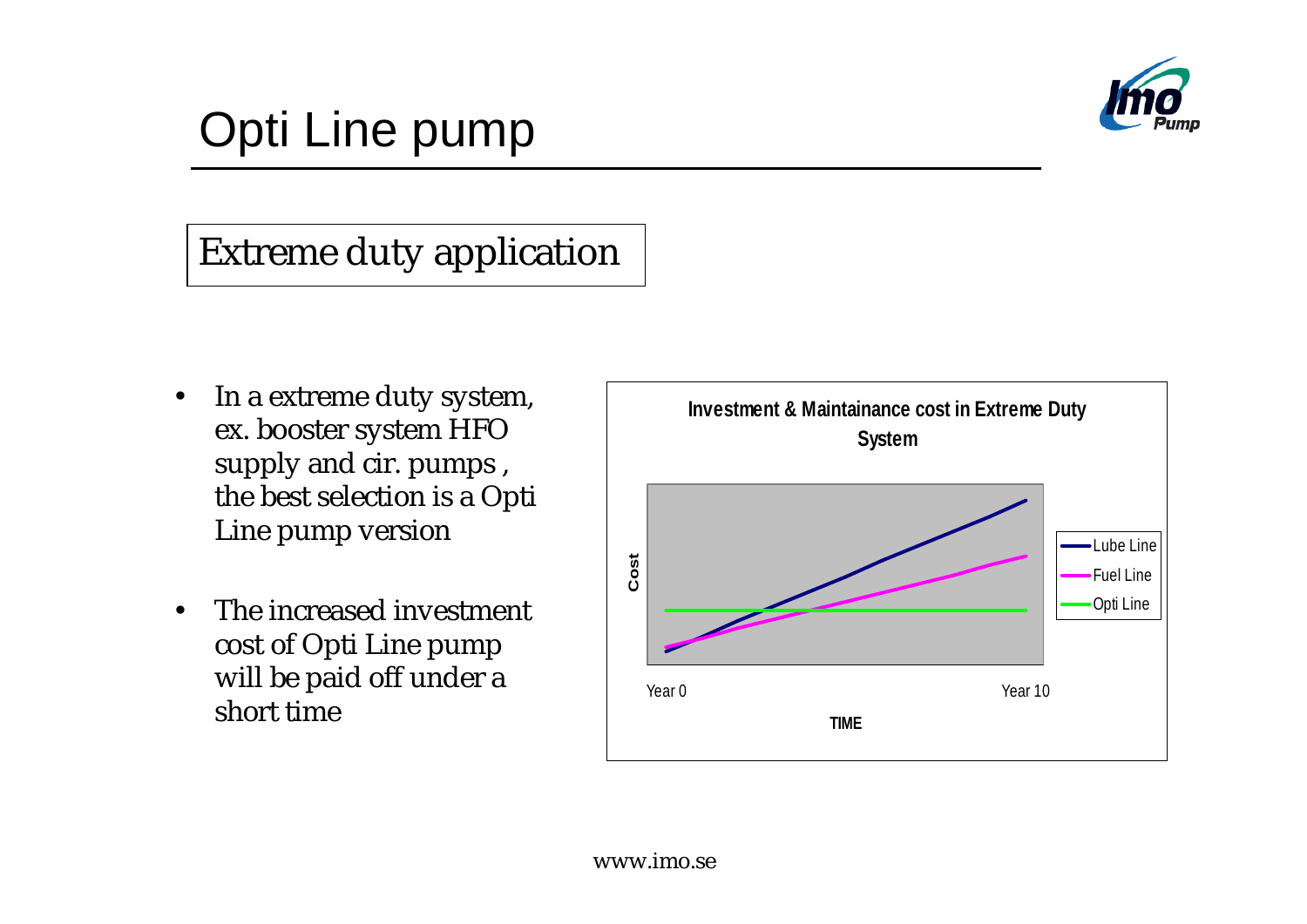

#### Extreme duty application

- In a extreme duty system, ex. booster system HFO supply and cir. pumps , the best selection is a Opti Line pump version
- The increased investment cost of Opti Line pump will be paid off under a short time

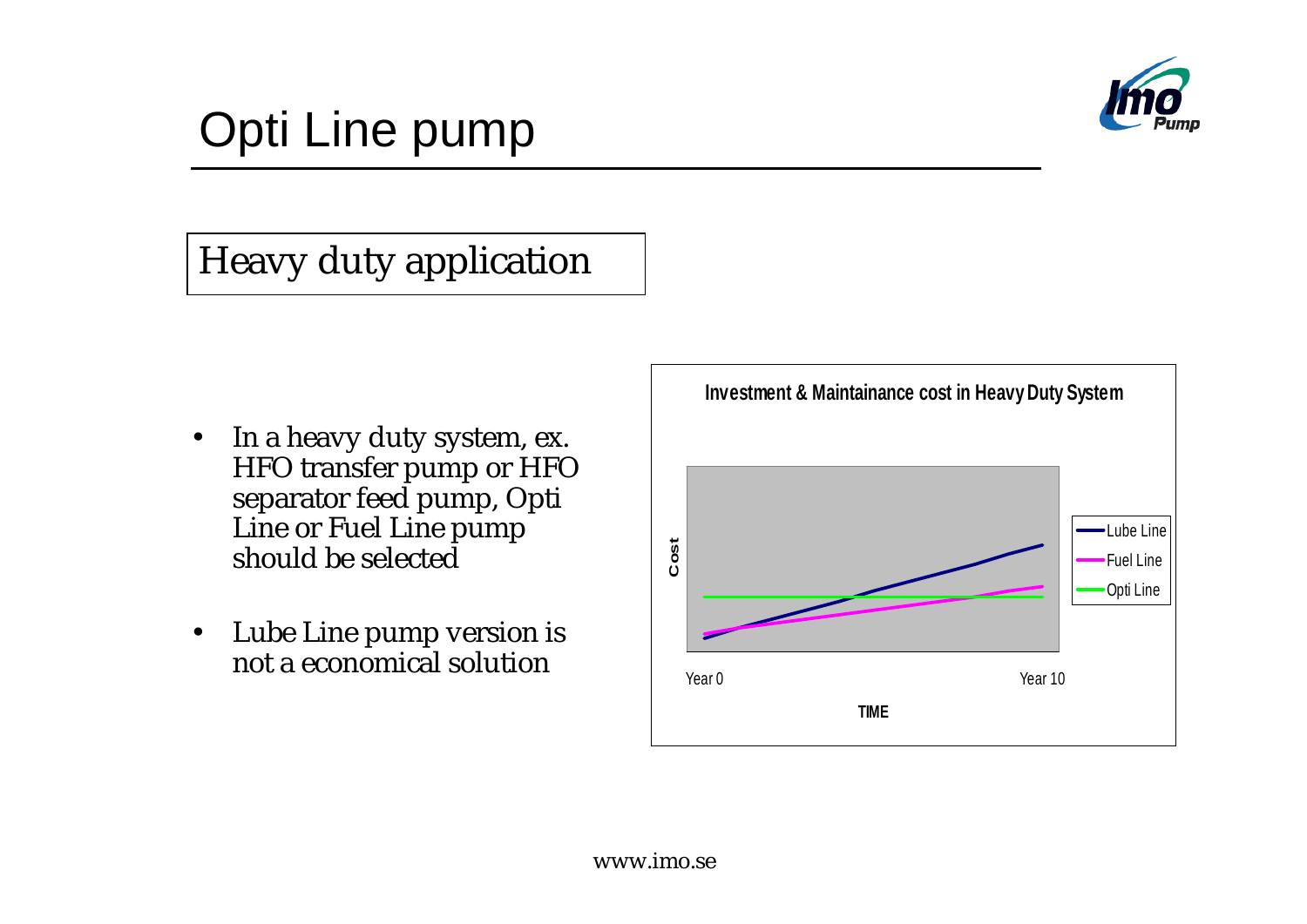

#### Heavy duty application

- In a heavy duty system, ex. HFO transfer pump or HFO separator feed pump, Opti Line or Fuel Line pump should be selected
- Lube Line pump version is not a economical solution

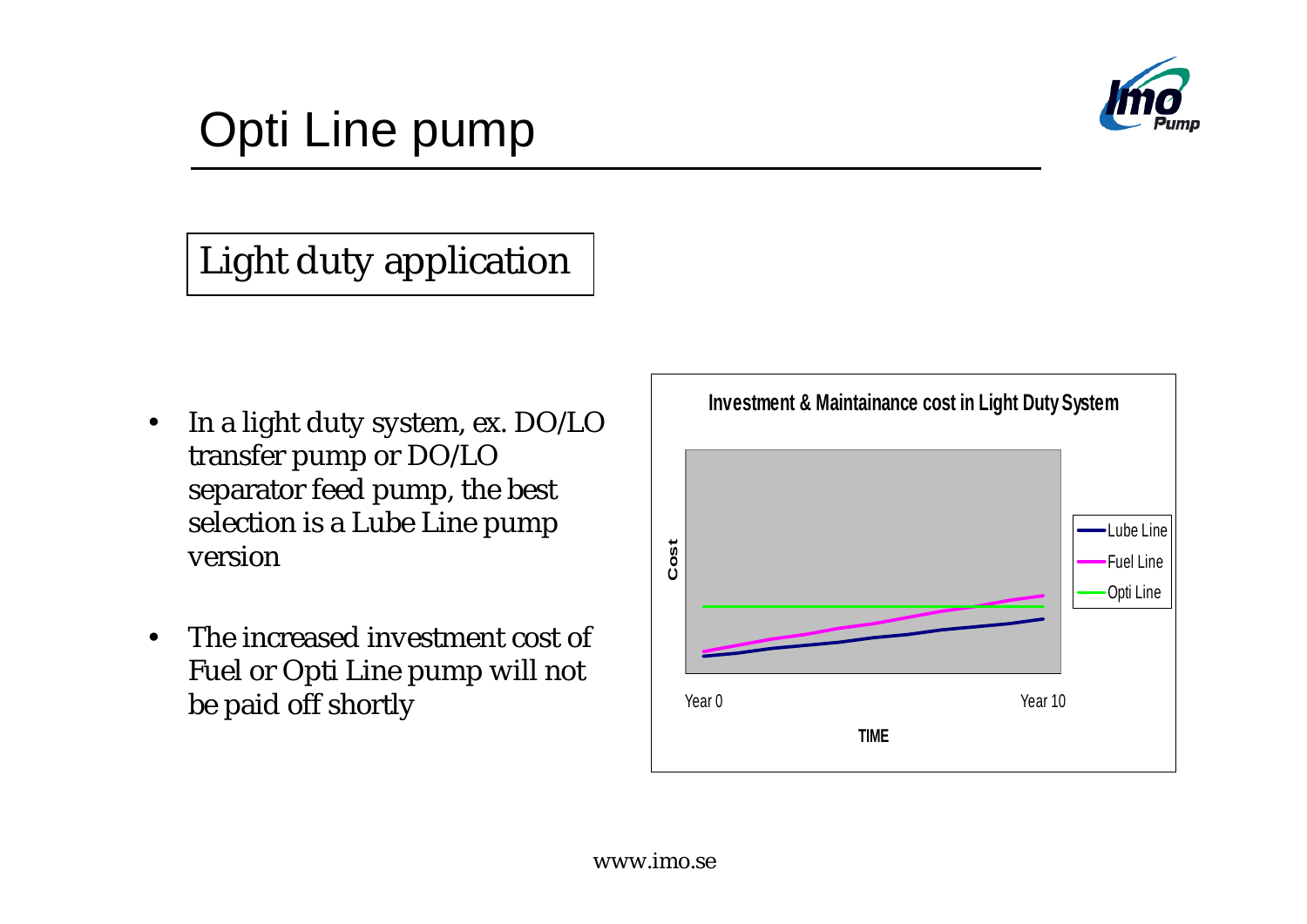

#### Light duty application

- In a light duty system, ex. DO/LO transfer pump or DO/LO separator feed pump, the best selection is a Lube Line pump version
- The increased investment cost of Fuel or Opti Line pump will not be paid off shortly